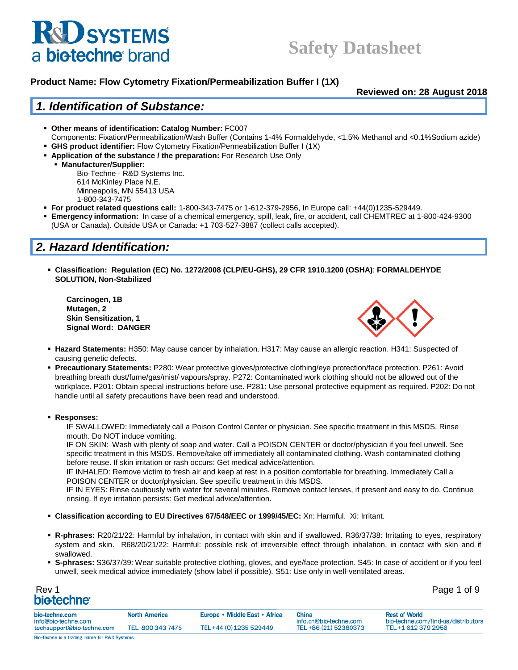

**Reviewed on: 28 August 2018**

### *1. Identification of Substance:*

- **Other means of identification: Catalog Number:** FC007
- Components: Fixation/Permeabilization/Wash Buffer (Contains 1-4% Formaldehyde, <1.5% Methanol and <0.1%Sodium azide)
- **GHS product identifier:** Flow Cytometry Fixation/Permeabilization Buffer I (1X) **EXEDED:** Application of the substance / the preparation: For Research Use Only
- **Manufacturer/Supplier:**

Bio-Techne - R&D Systems Inc. 614 McKinley Place N.E. Minneapolis, MN 55413 USA 1-800-343-7475

- **For product related questions call:** 1-800-343-7475 or 1-612-379-2956, In Europe call: +44(0)1235-529449.
- **Emergency information:** In case of a chemical emergency, spill, leak, fire, or accident, call CHEMTREC at 1-800-424-9300 (USA or Canada). Outside USA or Canada: +1 703-527-3887 (collect calls accepted).

## *2. Hazard Identification:*

▪ **Classification: Regulation (EC) No. 1272/2008 (CLP/EU-GHS), 29 CFR 1910.1200 (OSHA)**: **FORMALDEHYDE SOLUTION, Non-Stabilized**

**Carcinogen, 1B Mutagen, 2 Skin Sensitization, 1 Signal Word: DANGER**



- **Hazard Statements:** H350: May cause cancer by inhalation. H317: May cause an allergic reaction. H341: Suspected of causing genetic defects.
- **Precautionary Statements:** P280: Wear protective gloves/protective clothing/eye protection/face protection. P261: Avoid breathing breath dust/fume/gas/mist/ vapours/spray. P272: Contaminated work clothing should not be allowed out of the workplace. P201: Obtain special instructions before use. P281: Use personal protective equipment as required. P202: Do not handle until all safety precautions have been read and understood.

#### ▪ **Responses:**

IF SWALLOWED: Immediately call a Poison Control Center or physician. See specific treatment in this MSDS. Rinse mouth. Do NOT induce vomiting.

IF ON SKIN: Wash with plenty of soap and water. Call a POISON CENTER or doctor/physician if you feel unwell. See specific treatment in this MSDS. Remove/take off immediately all contaminated clothing. Wash contaminated clothing before reuse. If skin irritation or rash occurs: Get medical advice/attention.

IF INHALED: Remove victim to fresh air and keep at rest in a position comfortable for breathing. Immediately Call a POISON CENTER or doctor/physician. See specific treatment in this MSDS.

IF IN EYES: Rinse cautiously with water for several minutes. Remove contact lenses, if present and easy to do. Continue rinsing. If eye irritation persists: Get medical advice/attention.

- **Classification according to EU Directives 67/548/EEC or 1999/45/EC:** Xn: Harmful. Xi: Irritant.
- **R-phrases:** R20/21/22: Harmful by inhalation, in contact with skin and if swallowed. R36/37/38: Irritating to eyes, respiratory system and skin. R68/20/21/22: Harmful: possible risk of irreversible effect through inhalation, in contact with skin and if swallowed.
- **S-phrases:** S36/37/39: Wear suitable protective clothing, gloves, and eye/face protection. S45: In case of accident or if you feel unwell, seek medical advice immediately (show label if possible). S51: Use only in well-ventilated areas.

| Rev 1            |  | Page 1 of 9 |
|------------------|--|-------------|
| <b>biotechne</b> |  |             |

| bio-techne.com<br>info@bio-techne.com        | <b>North America</b> | Europe • Middle East • Africa | <b>China</b><br>info.cn@bio-techne.com | <b>Rest of World</b><br>bio-techne.com/find-us/distributors |
|----------------------------------------------|----------------------|-------------------------------|----------------------------------------|-------------------------------------------------------------|
| techsupport@bio-techne.com                   | TEL 800 343 7475     | TEL+44 (0) 1235 529449        | TEL +86 (21) 52380373                  | TEL+1 612 379 2956                                          |
| Bio-Techne is a trading name for R&D Systems |                      |                               |                                        |                                                             |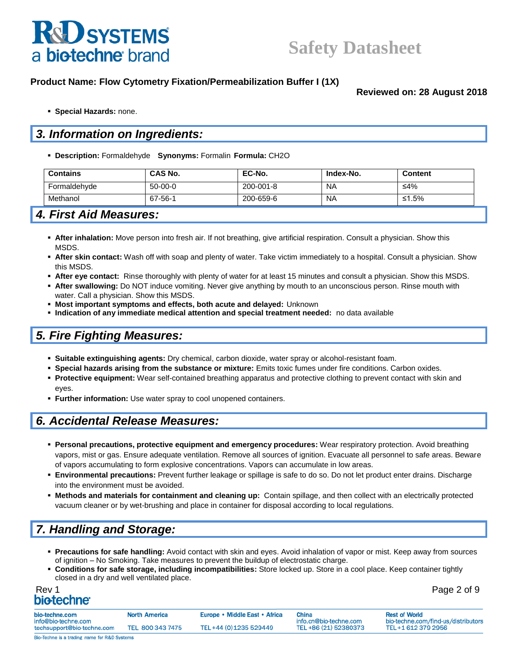

**Reviewed on: 28 August 2018**

▪ **Special Hazards:** none.

## *3. Information on Ingredients:*

▪ **Description:** Formaldehyde **Synonyms:** Formalin **Formula:** CH2O

| <b>Contains</b> | <b>CAS No.</b> | EC-No.    | Index-No. | Content |
|-----------------|----------------|-----------|-----------|---------|
| Formaldehyde    | $50-00-0$      | 200-001-8 | <b>NA</b> | ≤4%     |
| Methanol        | 67-56-1        | 200-659-6 | <b>NA</b> | ≤1.5%   |

## *4. First Aid Measures:*

- **After inhalation:** Move person into fresh air. If not breathing, give artificial respiration. Consult a physician. Show this MSDS.
- **After skin contact:** Wash off with soap and plenty of water. Take victim immediately to a hospital. Consult a physician. Show this MSDS.
- **After eye contact:** Rinse thoroughly with plenty of water for at least 15 minutes and consult a physician. Show this MSDS.
- **After swallowing:** Do NOT induce vomiting. Never give anything by mouth to an unconscious person. Rinse mouth with water. Call a physician. Show this MSDS.
- **Most important symptoms and effects, both acute and delayed:** Unknown
- **Indication of any immediate medical attention and special treatment needed:** no data available

### *5. Fire Fighting Measures:*

- **Suitable extinguishing agents:** Dry chemical, carbon dioxide, water spray or alcohol-resistant foam.
- **Special hazards arising from the substance or mixture:** Emits toxic fumes under fire conditions. Carbon oxides.
- **Protective equipment:** Wear self-contained breathing apparatus and protective clothing to prevent contact with skin and eyes.
- **Eurther information:** Use water spray to cool unopened containers.

### *6. Accidental Release Measures:*

- **Personal precautions, protective equipment and emergency procedures:** Wear respiratory protection. Avoid breathing vapors, mist or gas. Ensure adequate ventilation. Remove all sources of ignition. Evacuate all personnel to safe areas. Beware of vapors accumulating to form explosive concentrations. Vapors can accumulate in low areas.
- **Environmental precautions:** Prevent further leakage or spillage is safe to do so. Do not let product enter drains. Discharge into the environment must be avoided.
- **Methods and materials for containment and cleaning up:** Contain spillage, and then collect with an electrically protected vacuum cleaner or by wet-brushing and place in container for disposal according to local regulations.

## *7. Handling and Storage:*

- **Precautions for safe handling:** Avoid contact with skin and eyes. Avoid inhalation of vapor or mist. Keep away from sources of ignition – No Smoking. Take measures to prevent the buildup of electrostatic charge.
- **Conditions for safe storage, including incompatibilities:** Store locked up. Store in a cool place. Keep container tightly closed in a dry and well ventilated place.

| Rev 1                   | Page 2 of 9 |
|-------------------------|-------------|
| bio-techne <sup>®</sup> |             |

| Page 2 of 9 |  |  |  |
|-------------|--|--|--|
|-------------|--|--|--|

| bio-techne.com<br>info@bio-techne.com | <b>North America</b> | Europe • Middle East • Africa | <b>China</b><br>info.cn@bio-techne.com | <b>Rest of World</b><br>bio-techne.com/find-us/distributors |
|---------------------------------------|----------------------|-------------------------------|----------------------------------------|-------------------------------------------------------------|
| techsupport@bio-techne.com            | TEL 800 343 7475     | TEL+44 (0) 1235 529449        | TEL +86 (21) 52380373                  | TEL+1 612 379 2956                                          |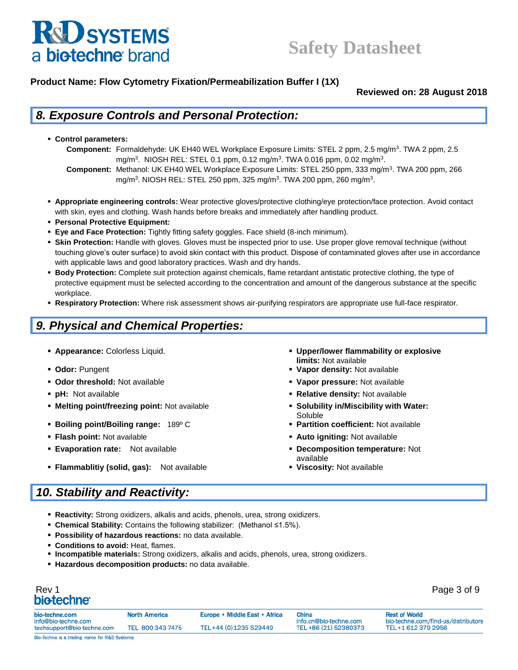

**Reviewed on: 28 August 2018**

## *8. Exposure Controls and Personal Protection:*

- **Control parameters:** 
	- **Component:** Formaldehyde: UK EH40 WEL Workplace Exposure Limits: STEL 2 ppm, 2.5 mg/m<sup>3</sup> . TWA 2 ppm, 2.5 mg/m<sup>3</sup>. NIOSH REL: STEL 0.1 ppm, 0.12 mg/m<sup>3</sup>. TWA 0.016 ppm, 0.02 mg/m<sup>3</sup>.
	- **Component:** Methanol: UK EH40 WEL Workplace Exposure Limits: STEL 250 ppm, 333 mg/m<sup>3</sup> . TWA 200 ppm, 266 mg/m<sup>3</sup>. NIOSH REL: STEL 250 ppm, 325 mg/m<sup>3</sup>. TWA 200 ppm, 260 mg/m<sup>3</sup>.
- **Appropriate engineering controls:** Wear protective gloves/protective clothing/eye protection/face protection. Avoid contact with skin, eyes and clothing. Wash hands before breaks and immediately after handling product.
- **Personal Protective Equipment:**
- **Eye and Face Protection:** Tightly fitting safety goggles. Face shield (8-inch minimum).
- **. Skin Protection:** Handle with gloves. Gloves must be inspected prior to use. Use proper glove removal technique (without touching glove's outer surface) to avoid skin contact with this product. Dispose of contaminated gloves after use in accordance with applicable laws and good laboratory practices. Wash and dry hands.
- **Body Protection:** Complete suit protection against chemicals, flame retardant antistatic protective clothing, the type of protective equipment must be selected according to the concentration and amount of the dangerous substance at the specific workplace.
- **Respiratory Protection:** Where risk assessment shows air-purifying respirators are appropriate use full-face respirator.

## *9. Physical and Chemical Properties:*

- 
- 
- **Odor threshold:** Not available **Vapor pressure:** Not available
- 
- **Melting point/freezing point:** Not available **Solubility in/Miscibility with Water:**
- **Boiling point/Boiling range: 189º C <b>■ Partition coefficient:** Not available
- 
- 
- **Flammablitiy (solid, gas):** Not available **Viscosity:** Not available

## *10. Stability and Reactivity:*

- **Example 2 Appearance:** Colorless Liquid. **Appearance: Colorless Liquid. The Color Color Color Explosive The Upper/lower flammability or explosive Proper/lower states and the Upper/lower flammability or explosive limits:** Not available
- Odor: Pungent  **Pungent Pungent Pungent Pungent Pungent Pungent Pungent Pungent Pungent Pungent Pungent Pungent Pungent Pungent Pungent Pungent Pungent Pungent Pungent Pungent Pungent Pungent Pungent Pungent Pungent Pu** 
	-
- **pH:** Not available **Relative density:** Not available
	- Soluble
	-
- **Flash point:** Not available **Auto igniting:** Not available
- **Evaporation rate:** Not available **Decomposition temperature:** Not
	- available<br>**Viscosity:** Not available •
- **Reactivity:** Strong oxidizers, alkalis and acids, phenols, urea, strong oxidizers.
- **Chemical Stability:** Contains the following stabilizer: (Methanol ≤1.5%).
- **Possibility of hazardous reactions:** no data available.
- **Conditions to avoid:** Heat, flames.
- **Incompatible materials:** Strong oxidizers, alkalis and acids, phenols, urea, strong oxidizers.
- **Hazardous decomposition products:** no data available.

| oiotechne <sup>.</sup>                       |                      |                               |                                        |                                                             |
|----------------------------------------------|----------------------|-------------------------------|----------------------------------------|-------------------------------------------------------------|
| io-techne.com<br>nfo@bio-techne.com          | <b>North America</b> | Europe • Middle East • Africa | <b>China</b><br>info.cn@bio-techne.com | <b>Rest of World</b><br>bio-techne.com/find-us/distributors |
| echsupport@bio-techne.com                    | TEL 800 343 7475     | TEL+44 (0) 1235 529449        | TEL +86 (21) 52380373                  | TEL+1 612 379 2956                                          |
| lio-Techne is a trading name for R&D Systems |                      |                               |                                        |                                                             |

Rev 1 Page 3 of 9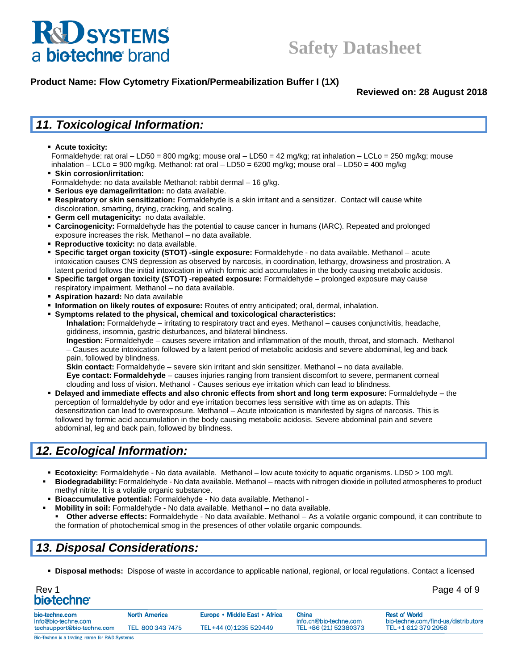

**Reviewed on: 28 August 2018**

## *11. Toxicological Information:*

▪ **Acute toxicity:** 

Formaldehyde: rat oral – LD50 = 800 mg/kg; mouse oral – LD50 = 42 mg/kg; rat inhalation – LCLo = 250 mg/kg; mouse inhalation – LCLo = 900 mg/kg. Methanol: rat oral – LD50 = 6200 mg/kg; mouse oral – LD50 = 400 mg/kg

- **Skin corrosion/irritation:**
- Formaldehyde: no data available Methanol: rabbit dermal 16 g/kg.
- **Serious eye damage/irritation:** no data available.
- **Respiratory or skin sensitization:** Formaldehyde is a skin irritant and a sensitizer. Contact will cause white discoloration, smarting, drying, cracking, and scaling.
- **Germ cell mutagenicity:** no data available.
- **Carcinogenicity:** Formaldehyde has the potential to cause cancer in humans (IARC). Repeated and prolonged exposure increases the risk. Methanol – no data available.
- **Reproductive toxicity:** no data available.
- **Specific target organ toxicity (STOT) -single exposure:** Formaldehyde no data available. Methanol acute intoxication causes CNS depression as observed by narcosis, in coordination, lethargy, drowsiness and prostration. A latent period follows the initial intoxication in which formic acid accumulates in the body causing metabolic acidosis.
- **Specific target organ toxicity (STOT) -repeated exposure:** Formaldehyde prolonged exposure may cause respiratory impairment. Methanol – no data available.
- **Aspiration hazard:** No data available
- **Information on likely routes of exposure:** Routes of entry anticipated; oral, dermal, inhalation.
- **Symptoms related to the physical, chemical and toxicological characteristics:**

**Inhalation:** Formaldehyde – irritating to respiratory tract and eyes. Methanol – causes conjunctivitis, headache, giddiness, insomnia, gastric disturbances, and bilateral blindness.

**Ingestion:** Formaldehyde – causes severe irritation and inflammation of the mouth, throat, and stomach. Methanol – Causes acute intoxication followed by a latent period of metabolic acidosis and severe abdominal, leg and back pain, followed by blindness.

**Skin contact:** Formaldehyde – severe skin irritant and skin sensitizer. Methanol – no data available.

**Eye contact: Formaldehyde** – causes injuries ranging from transient discomfort to severe, permanent corneal clouding and loss of vision. Methanol - Causes serious eye irritation which can lead to blindness.

▪ **Delayed and immediate effects and also chronic effects from short and long term exposure:** Formaldehyde – the perception of formaldehyde by odor and eye irritation becomes less sensitive with time as on adapts. This desensitization can lead to overexposure. Methanol – Acute intoxication is manifested by signs of narcosis. This is followed by formic acid accumulation in the body causing metabolic acidosis. Severe abdominal pain and severe abdominal, leg and back pain, followed by blindness.

## *12. Ecological Information:*

- **Ecotoxicity:** Formaldehyde No data available. Methanol low acute toxicity to aquatic organisms. LD50 > 100 mg/L Biodegradability: Formaldehyde - No data available. Methanol – reacts with nitrogen dioxide in polluted atmospheres to product methyl nitrite. It is a volatile organic substance.
- **Bioaccumulative potential:** Formaldehyde No data available. Methanol -
- **Mobility in soil:** Formaldehyde No data available. Methanol no data available. Other adverse effects: Formaldehyde - No data available. Methanol - As a volatile organic compound, it can contribute to the formation of photochemical smog in the presences of other volatile organic compounds.

## *13. Disposal Considerations:*

▪ **Disposal methods:** Dispose of waste in accordance to applicable national, regional, or local regulations. Contact a licensed

| Rev 1                   | Page 4 of 9 |
|-------------------------|-------------|
| bio-techne <sup>®</sup> |             |

| bio-techne.com<br>info@bio-techne.com | <b>North America</b> | Europe • Middle East • Africa | <b>China</b><br>info.cn@bio-techne.com | <b>Rest of World</b><br>bio-techne.com/find-us/distributors |
|---------------------------------------|----------------------|-------------------------------|----------------------------------------|-------------------------------------------------------------|
| techsupport@bio-techne.com            | TEL 800 343 7475     | TEL+44 (0) 1235 529449        | TEL +86 (21) 52380373                  | TEL+1 612 379 2956                                          |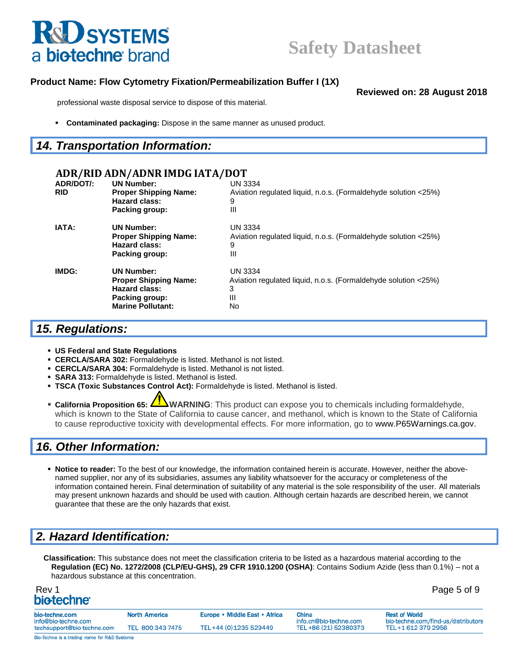

**Reviewed on: 28 August 2018**

professional waste disposal service to dispose of this material.

**Contaminated packaging:** Dispose in the same manner as unused product.

#### *14. Transportation Information:*

#### **ADR/RID ADN/ADNR IMDG IATA/DOT ADR/DOT/: UN Number:** UN 3334 **RID Proper Shipping Name:** Aviation regulated liquid, n.o.s. (Formaldehyde solution <25%) **Hazard class:** 9 **Packing group:** III **IATA: UN Number:** UN 3334 **Proper Shipping Name:** Aviation regulated liquid, n.o.s. (Formaldehyde solution <25%) **Hazard class:** 9 **Packing group:** III **IMDG: UN Number:** UN 3334 **Proper Shipping Name:** Aviation regulated liquid, n.o.s. (Formaldehyde solution <25%) **Hazard class:** 3 **Packing group:** III **Marine Pollutant:** No

## *15. Regulations:*

- **US Federal and State Regulations**
- **ERCLA/SARA 302: Formaldehyde is listed. Methanol is not listed.**
- **CERCLA/SARA 304:** Formaldehyde is listed. Methanol is not listed.
- **· SARA 313: Formaldehyde is listed. Methanol is listed.**
- **TSCA (Toxic Substances Control Act):** Formaldehyde is listed. Methanol is listed.
- **California Proposition 65: AIVARNING**: This product can expose you to chemicals including formaldehyde, which is known to the State of California to cause cancer, and methanol, which is known to the State of California to cause reproductive toxicity with developmental effects. For more information, go to [www.P65Warnings.ca.gov.](http://www.p65warnings.ca.gov/)

## *16. Other Information:*

▪ **Notice to reader:** To the best of our knowledge, the information contained herein is accurate. However, neither the abovenamed supplier, nor any of its subsidiaries, assumes any liability whatsoever for the accuracy or completeness of the information contained herein. Final determination of suitability of any material is the sole responsibility of the user. All materials may present unknown hazards and should be used with caution. Although certain hazards are described herein, we cannot guarantee that these are the only hazards that exist.

## *2. Hazard Identification:*

**Classification:** This substance does not meet the classification criteria to be listed as a hazardous material according to the **Regulation (EC) No. 1272/2008 (CLP/EU-GHS), 29 CFR 1910.1200 (OSHA)**: Contains Sodium Azide (less than 0.1%) – not a hazardous substance at this concentration.

| Rev 1            | Page 5 of 9 |
|------------------|-------------|
| <b>biotechne</b> |             |

| bio-techne.com<br>info@bio-techne.com        | <b>North America</b> | Europe • Middle East • Africa | China<br>info.cn@bio-techne.com | <b>Rest of World</b><br>bio-techne.com/find-us/distributors |
|----------------------------------------------|----------------------|-------------------------------|---------------------------------|-------------------------------------------------------------|
| techsupport@bio-techne.com                   | TEL 800 343 7475     | TEL+44 (0) 1235 529449        | TEL +86 (21) 52380373           | TEL+1 612 379 2956                                          |
| Bio-Techne is a trading name for R&D Systems |                      |                               |                                 |                                                             |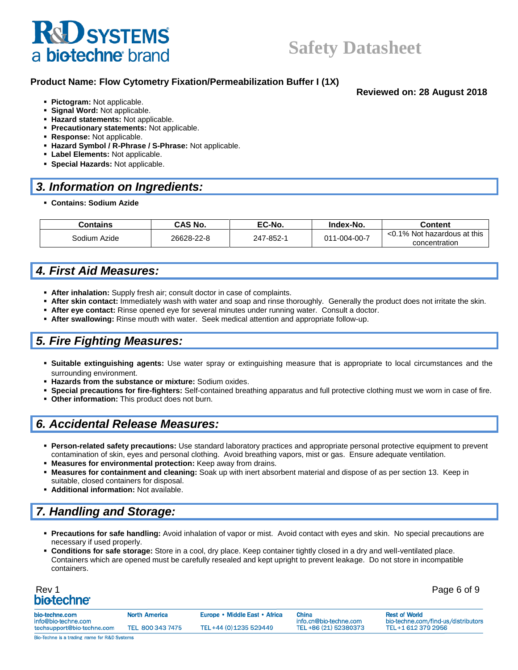# **R&D SYSTEMS** a biotechne brand

## **Safety Datasheet**

**Reviewed on: 28 August 2018**

#### **Product Name: Flow Cytometry Fixation/Permeabilization Buffer I (1X)**

#### ▪ **Pictogram:** Not applicable.

- **Signal Word:** Not applicable.
- **Hazard statements:** Not applicable.
- **Precautionary statements:** Not applicable.
- **Response:** Not applicable.
- **Hazard Symbol / R-Phrase / S-Phrase:** Not applicable.
- **Exabel Elements: Not applicable.**
- **Special Hazards:** Not applicable.

### *3. Information on Ingredients:*

▪ **Contains: Sodium Azide**

| Contains     | <b>CAS No.</b> | EC-No.                    | Index-No.                   | Content       |
|--------------|----------------|---------------------------|-----------------------------|---------------|
| Sodium Azide | 26628-22-8     | 011-004-00-7<br>247-852-1 | <0.1% Not hazardous at this |               |
|              |                |                           |                             | concentration |

## *4. First Aid Measures:*

- **EXTER: After inhalation:** Supply fresh air; consult doctor in case of complaints.
- **After skin contact:** Immediately wash with water and soap and rinse thoroughly. Generally the product does not irritate the skin.
- **After eye contact:** Rinse opened eye for several minutes under running water. Consult a doctor.
- **After swallowing:** Rinse mouth with water. Seek medical attention and appropriate follow-up.

## *5. Fire Fighting Measures:*

- **Suitable extinguishing agents:** Use water spray or extinguishing measure that is appropriate to local circumstances and the surrounding environment.
- Hazards from the substance or mixture: Sodium oxides.
- **Special precautions for fire-fighters:** Self-contained breathing apparatus and full protective clothing must we worn in case of fire.
- **Other information:** This product does not burn.

## *6. Accidental Release Measures:*

- **Person-related safety precautions:** Use standard laboratory practices and appropriate personal protective equipment to prevent contamination of skin, eyes and personal clothing. Avoid breathing vapors, mist or gas. Ensure adequate ventilation.
- **Measures for environmental protection:** Keep away from drains.
- **Measures for containment and cleaning:** Soak up with inert absorbent material and dispose of as per section 13. Keep in suitable, closed containers for disposal.
- **Additional information:** Not available.

## *7. Handling and Storage:*

- **Precautions for safe handling:** Avoid inhalation of vapor or mist. Avoid contact with eyes and skin. No special precautions are necessary if used properly.
- **Conditions for safe storage:** Store in a cool, dry place. Keep container tightly closed in a dry and well-ventilated place. Containers which are opened must be carefully resealed and kept upright to prevent leakage. Do not store in incompatible containers.

| Rev 1                   | Page 6 of 9 |
|-------------------------|-------------|
| bio-techne <sup>®</sup> |             |

| bio-techne.com<br>info@bio-techne.com | <b>North America</b> | Europe • Middle East • Africa | China<br>info.cn@bio-techne.com | <b>Rest of World</b><br>bio-techne.com/find-us/distributors |
|---------------------------------------|----------------------|-------------------------------|---------------------------------|-------------------------------------------------------------|
| techsupport@bio-techne.com            | TEL 800 343 7475     | TEL+44 (0) 1235 529449        | TEL +86 (21) 52380373           | TEL+1 612 379 2956                                          |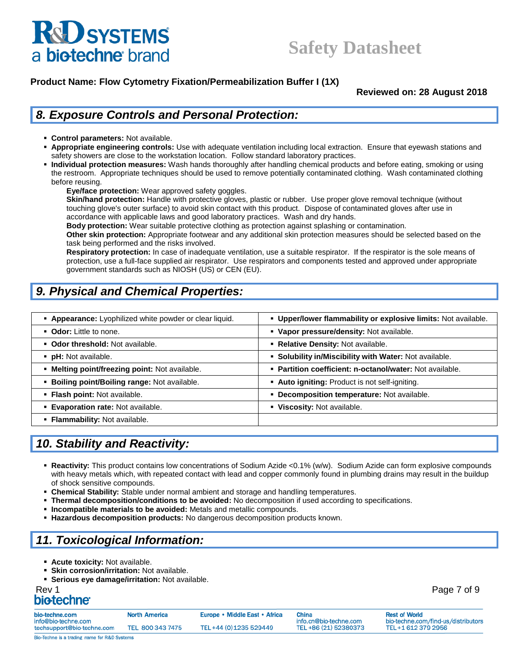

**Reviewed on: 28 August 2018**

## *8. Exposure Controls and Personal Protection:*

- **Control parameters:** Not available.
- **Appropriate engineering controls:** Use with adequate ventilation including local extraction. Ensure that eyewash stations and safety showers are close to the workstation location. Follow standard laboratory practices.
- Individual protection measures: Wash hands thoroughly after handling chemical products and before eating, smoking or using the restroom. Appropriate techniques should be used to remove potentially contaminated clothing. Wash contaminated clothing before reusing.

**Eye/face protection:** Wear approved safety goggles.

**Skin/hand protection:** Handle with protective gloves, plastic or rubber. Use proper glove removal technique (without touching glove's outer surface) to avoid skin contact with this product. Dispose of contaminated gloves after use in accordance with applicable laws and good laboratory practices. Wash and dry hands.

**Body protection:** Wear suitable protective clothing as protection against splashing or contamination.

**Other skin protection:** Appropriate footwear and any additional skin protection measures should be selected based on the task being performed and the risks involved.

**Respiratory protection:** In case of inadequate ventilation, use a suitable respirator. If the respirator is the sole means of protection, use a full-face supplied air respirator. Use respirators and components tested and approved under appropriate government standards such as NIOSH (US) or CEN (EU).

## *9. Physical and Chemical Properties:*

| • Appearance: Lyophilized white powder or clear liquid. | . Upper/lower flammability or explosive limits: Not available. |
|---------------------------------------------------------|----------------------------------------------------------------|
| • Odor: Little to none.                                 | • Vapor pressure/density: Not available.                       |
| • Odor threshold: Not available.                        | • Relative Density: Not available.                             |
| • pH: Not available.                                    | • Solubility in/Miscibility with Water: Not available.         |
| . Melting point/freezing point: Not available.          | • Partition coefficient: n-octanol/water: Not available.       |
| <b>Boiling point/Boiling range: Not available.</b>      | • Auto igniting: Product is not self-igniting.                 |
| · Flash point: Not available.                           | • Decomposition temperature: Not available.                    |
| <b>Evaporation rate: Not available.</b>                 | • Viscosity: Not available.                                    |
| • Flammability: Not available.                          |                                                                |

## *10. Stability and Reactivity:*

- **Reactivity:** This product contains low concentrations of Sodium Azide <0.1% (w/w). Sodium Azide can form explosive compounds with heavy metals which, with repeated contact with lead and copper commonly found in plumbing drains may result in the buildup of shock sensitive compounds.
- **Chemical Stability:** Stable under normal ambient and storage and handling temperatures.
- **Thermal decomposition/conditions to be avoided:** No decomposition if used according to specifications.
- **Incompatible materials to be avoided:** Metals and metallic compounds.
- **Hazardous decomposition products:** No dangerous decomposition products known.

## *11. Toxicological Information:*

- **E** Acute toxicity: Not available.
- **Skin corrosion/irritation: Not available.**
- **Serious eye damage/irritation:** Not available.

## Rev 1 Page 7 of 9

| bio-techne.com<br>info@bio-techne.com        | <b>North America</b> | Europe • Middle East • Africa | China<br>info.cn@bio-techne.com | <b>Rest of World</b><br>bio-techne.com/find-us/distributors |
|----------------------------------------------|----------------------|-------------------------------|---------------------------------|-------------------------------------------------------------|
| techsupport@bio-techne.com                   | TEL 800 343 7475     | TEL+44 (0) 1235 529449        | TEL +86 (21) 52380373           | TEL+1 612 379 2956                                          |
| Bio-Techne is a trading name for R&D Systems |                      |                               |                                 |                                                             |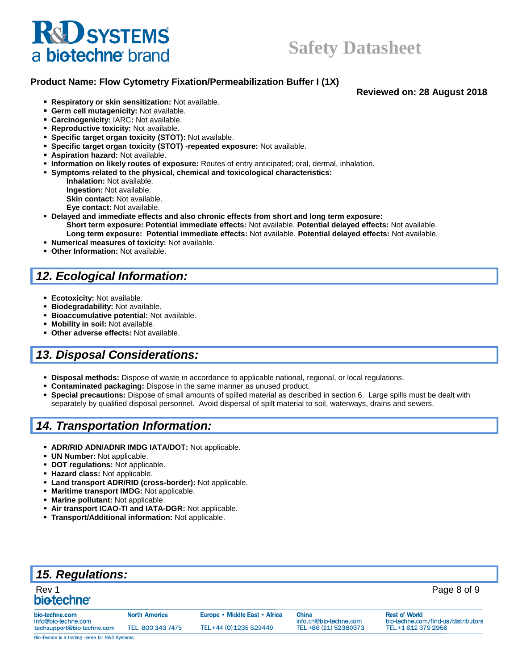# **R&D SYSTEMS** a biotechne brand

## **Safety Datasheet**

#### **Product Name: Flow Cytometry Fixation/Permeabilization Buffer I (1X)**

**Reviewed on: 28 August 2018**

- **Respiratory or skin sensitization:** Not available.
- **Germ cell mutagenicity:** Not available.
- **Carcinogenicity:** IARC**:** Not available.
- **Reproductive toxicity:** Not available.
- **Specific target organ toxicity (STOT):** Not available.
- **Specific target organ toxicity (STOT) -repeated exposure:** Not available.
- **Aspiration hazard:** Not available.
- **Information on likely routes of exposure:** Routes of entry anticipated; oral, dermal, inhalation.
- **Symptoms related to the physical, chemical and toxicological characteristics:**
	- **Inhalation:** Not available. **Ingestion:** Not available. **Skin contact:** Not available.
	- **Eye contact:** Not available.
- **Delayed and immediate effects and also chronic effects from short and long term exposure: Short term exposure: Potential immediate effects:** Not available. **Potential delayed effects:** Not available. **Long term exposure: Potential immediate effects:** Not available. **Potential delayed effects:** Not available.
- **Numerical measures of toxicity:** Not available.
- **Other Information:** Not available.

## *12. Ecological Information:*

- **Ecotoxicity:** Not available.
- **Biodegradability:** Not available.
- **Bioaccumulative potential: Not available.**
- **Mobility in soil:** Not available.
- **Other adverse effects:** Not available.

## *13. Disposal Considerations:*

- **Disposal methods:** Dispose of waste in accordance to applicable national, regional, or local regulations.
- **Contaminated packaging:** Dispose in the same manner as unused product.
- **Special precautions:** Dispose of small amounts of spilled material as described in section 6. Large spills must be dealt with separately by qualified disposal personnel. Avoid dispersal of spilt material to soil, waterways, drains and sewers.

## *14. Transportation Information:*

- **ADR/RID ADN/ADNR IMDG IATA/DOT:** Not applicable.
- **UN Number:** Not applicable.
- **DOT regulations:** Not applicable.
- **Hazard class:** Not applicable.
- Land transport ADR/RID (cross-border): Not applicable.
- **Maritime transport IMDG: Not applicable.**
- **Marine pollutant: Not applicable.**
- Air transport ICAO-TI and IATA-DGR: Not applicable.
- **Transport/Additional information: Not applicable.**

| <b>15. Regulations:</b>                      |                      |                               |                                 |                                                             |
|----------------------------------------------|----------------------|-------------------------------|---------------------------------|-------------------------------------------------------------|
| Rev 1<br>bio-techne <sup>®</sup>             |                      |                               |                                 | Page 8 of 9                                                 |
| bio-techne.com<br>info@bio-techne.com        | <b>North America</b> | Europe • Middle East • Africa | China<br>info.cn@bio-techne.com | <b>Rest of World</b><br>bio-techne.com/find-us/distributors |
| techsupport@bio-techne.com                   | TEL 800 343 7475     | TEL+44 (0) 1235 529449        | TEL +86 (21) 52380373           | TEL+1 612 379 2956                                          |
| Bio-Techne is a trading name for R&D Systems |                      |                               |                                 |                                                             |